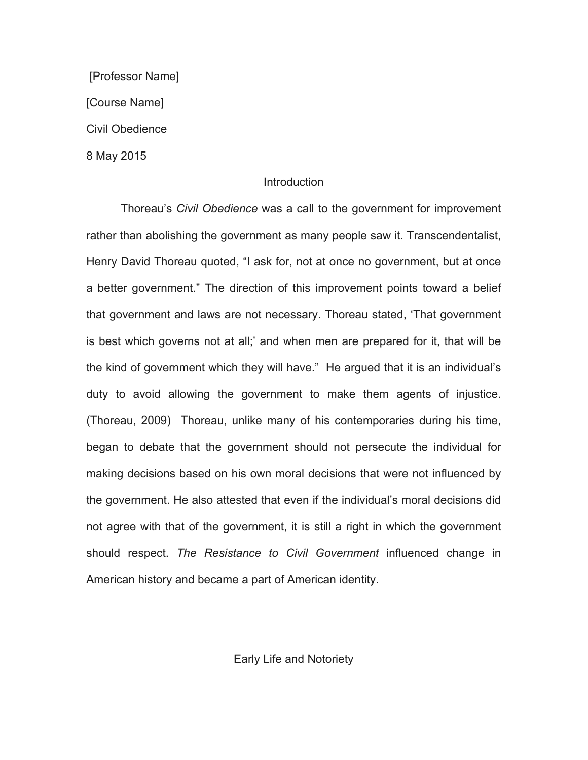[Professor Name] [Course Name] Civil Obedience 8 May 2015

# **Introduction**

Thoreau's *Civil Obedience* was a call to the government for improvement rather than abolishing the government as many people saw it. Transcendentalist, Henry David Thoreau quoted, "I ask for, not at once no government, but at once a better government." The direction of this improvement points toward a belief that government and laws are not necessary. Thoreau stated, 'That government is best which governs not at all;' and when men are prepared for it, that will be the kind of government which they will have." He argued that it is an individual's duty to avoid allowing the government to make them agents of injustice. (Thoreau, 2009) Thoreau, unlike many of his contemporaries during his time, began to debate that the government should not persecute the individual for making decisions based on his own moral decisions that were not influenced by the government. He also attested that even if the individual's moral decisions did not agree with that of the government, it is still a right in which the government should respect. *The Resistance to Civil Government* influenced change in American history and became a part of American identity.

Early Life and Notoriety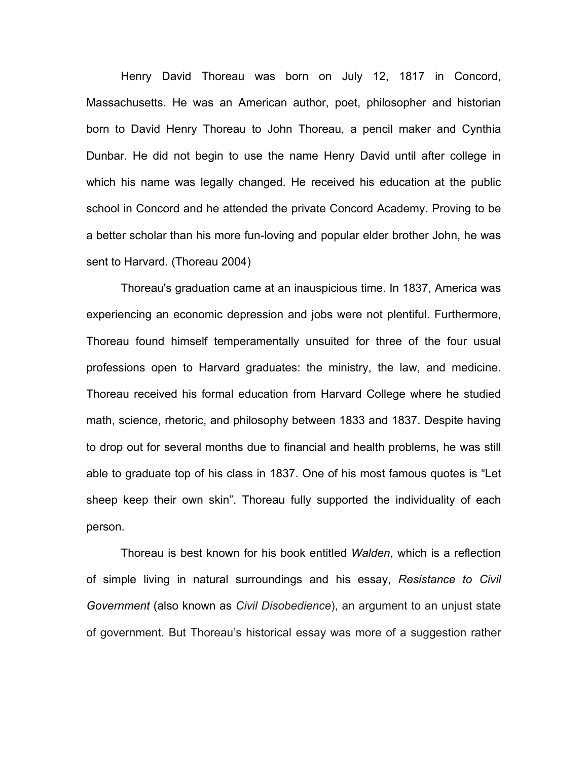Henry David Thoreau was born on July 12, 1817 in Concord, Massachusetts. He was an American author, poet, philosopher and historian born to David Henry Thoreau to John Thoreau, a pencil maker and Cynthia Dunbar. He did not begin to use the name Henry David until after college in which his name was legally changed. He received his education at the public school in Concord and he attended the private Concord Academy. Proving to be a better scholar than his more fun-loving and popular elder brother John, he was sent to Harvard. (Thoreau 2004)

Thoreau's graduation came at an inauspicious time. In 1837, America was experiencing an economic depression and jobs were not plentiful. Furthermore, Thoreau found himself temperamentally unsuited for three of the four usual professions open to Harvard graduates: the ministry, the law, and medicine. Thoreau received his formal education from Harvard College where he studied math, science, rhetoric, and philosophy between 1833 and 1837. Despite having to drop out for several months due to financial and health problems, he was still able to graduate top of his class in 1837. One of his most famous quotes is "Let sheep keep their own skin". Thoreau fully supported the individuality of each person.

Thoreau is best known for his book entitled *Walden*, which is a reflection of simple living in natural surroundings and his essay, *Resistance to Civil Government* (also known as *Civil Disobedience*), an argument to an unjust state of government. But Thoreau's historical essay was more of a suggestion rather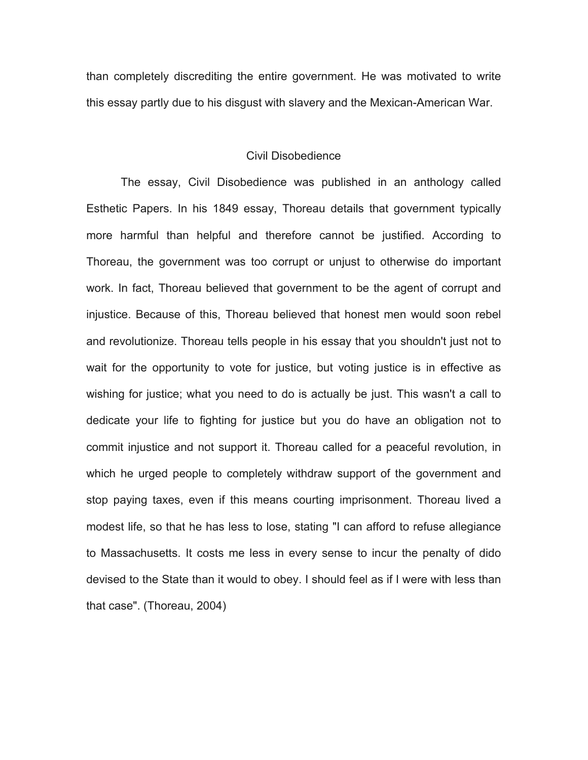than completely discrediting the entire government. He was motivated to write this essay partly due to his disgust with slavery and the Mexican-American War.

# Civil Disobedience

The essay, Civil Disobedience was published in an anthology called Esthetic Papers. In his 1849 essay, Thoreau details that government typically more harmful than helpful and therefore cannot be justified. According to Thoreau, the government was too corrupt or unjust to otherwise do important work. In fact, Thoreau believed that government to be the agent of corrupt and injustice. Because of this, Thoreau believed that honest men would soon rebel and revolutionize. Thoreau tells people in his essay that you shouldn't just not to wait for the opportunity to vote for justice, but voting justice is in effective as wishing for justice; what you need to do is actually be just. This wasn't a call to dedicate your life to fighting for justice but you do have an obligation not to commit injustice and not support it. Thoreau called for a peaceful revolution, in which he urged people to completely withdraw support of the government and stop paying taxes, even if this means courting imprisonment. Thoreau lived a modest life, so that he has less to lose, stating "I can afford to refuse allegiance to Massachusetts. It costs me less in every sense to incur the penalty of dido devised to the State than it would to obey. I should feel as if I were with less than that case". (Thoreau, 2004)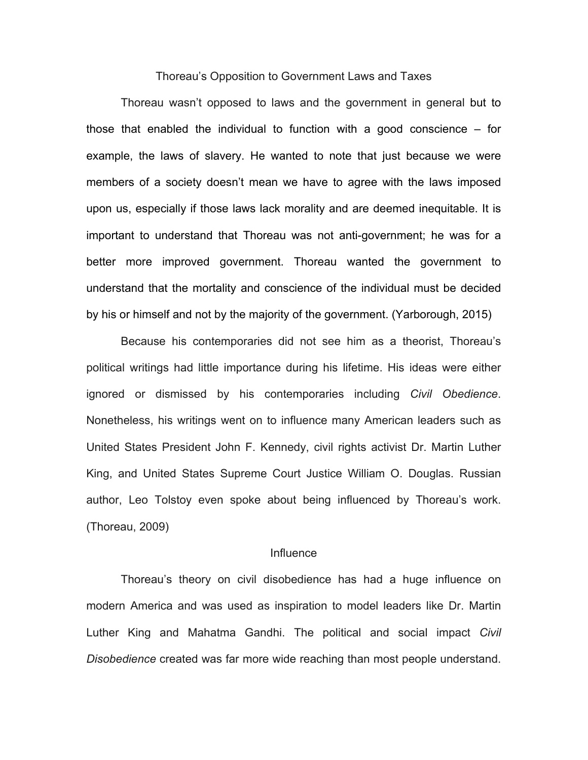#### Thoreau's Opposition to Government Laws and Taxes

Thoreau wasn't opposed to laws and the government in general but to those that enabled the individual to function with a good conscience – for example, the laws of slavery. He wanted to note that just because we were members of a society doesn't mean we have to agree with the laws imposed upon us, especially if those laws lack morality and are deemed inequitable. It is important to understand that Thoreau was not anti-government; he was for a better more improved government. Thoreau wanted the government to understand that the mortality and conscience of the individual must be decided by his or himself and not by the majority of the government. (Yarborough, 2015)

Because his contemporaries did not see him as a theorist, Thoreau's political writings had little importance during his lifetime. His ideas were either ignored or dismissed by his contemporaries including *Civil Obedience*. Nonetheless, his writings went on to influence many American leaders such as United States President John F. Kennedy, civil rights activist Dr. Martin Luther King, and United States Supreme Court Justice William O. Douglas. Russian author, Leo Tolstoy even spoke about being influenced by Thoreau's work. (Thoreau, 2009)

## Influence

Thoreau's theory on civil disobedience has had a huge influence on modern America and was used as inspiration to model leaders like Dr. Martin Luther King and Mahatma Gandhi. The political and social impact *Civil Disobedience* created was far more wide reaching than most people understand.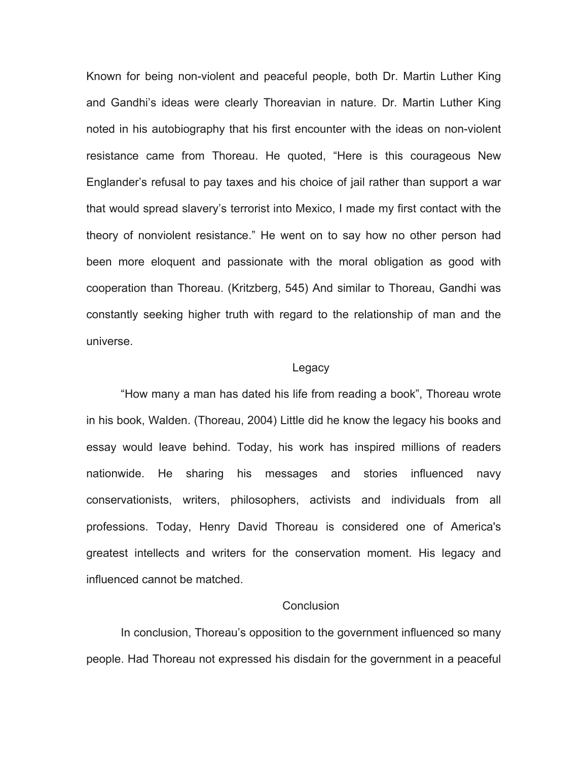Known for being non-violent and peaceful people, both Dr. Martin Luther King and Gandhi's ideas were clearly Thoreavian in nature. Dr. Martin Luther King noted in his autobiography that his first encounter with the ideas on non-violent resistance came from Thoreau. He quoted, "Here is this courageous New Englander's refusal to pay taxes and his choice of jail rather than support a war that would spread slavery's terrorist into Mexico, I made my first contact with the theory of nonviolent resistance." He went on to say how no other person had been more eloquent and passionate with the moral obligation as good with cooperation than Thoreau. (Kritzberg, 545) And similar to Thoreau, Gandhi was constantly seeking higher truth with regard to the relationship of man and the universe.

#### Legacy

"How many a man has dated his life from reading a book", Thoreau wrote in his book, Walden. (Thoreau, 2004) Little did he know the legacy his books and essay would leave behind. Today, his work has inspired millions of readers nationwide. He sharing his messages and stories influenced navy conservationists, writers, philosophers, activists and individuals from all professions. Today, Henry David Thoreau is considered one of America's greatest intellects and writers for the conservation moment. His legacy and influenced cannot be matched.

# **Conclusion**

In conclusion, Thoreau's opposition to the government influenced so many people. Had Thoreau not expressed his disdain for the government in a peaceful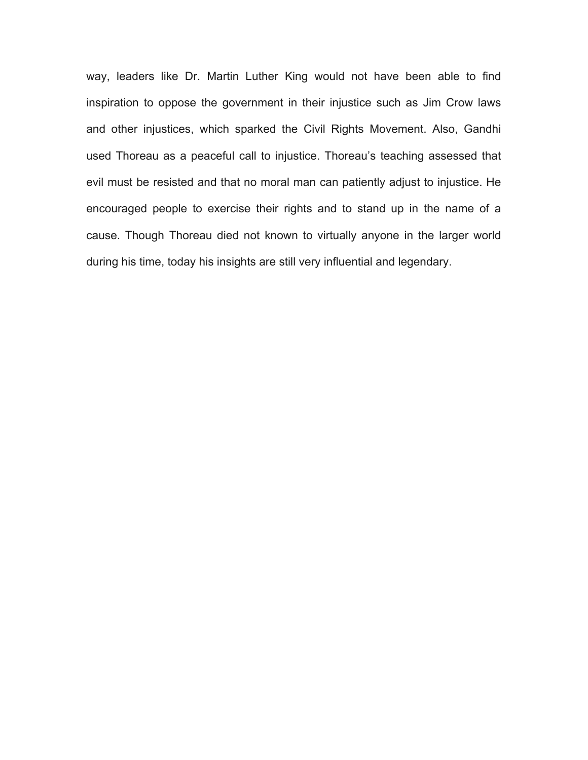way, leaders like Dr. Martin Luther King would not have been able to find inspiration to oppose the government in their injustice such as Jim Crow laws and other injustices, which sparked the Civil Rights Movement. Also, Gandhi used Thoreau as a peaceful call to injustice. Thoreau's teaching assessed that evil must be resisted and that no moral man can patiently adjust to injustice. He encouraged people to exercise their rights and to stand up in the name of a cause. Though Thoreau died not known to virtually anyone in the larger world during his time, today his insights are still very influential and legendary.